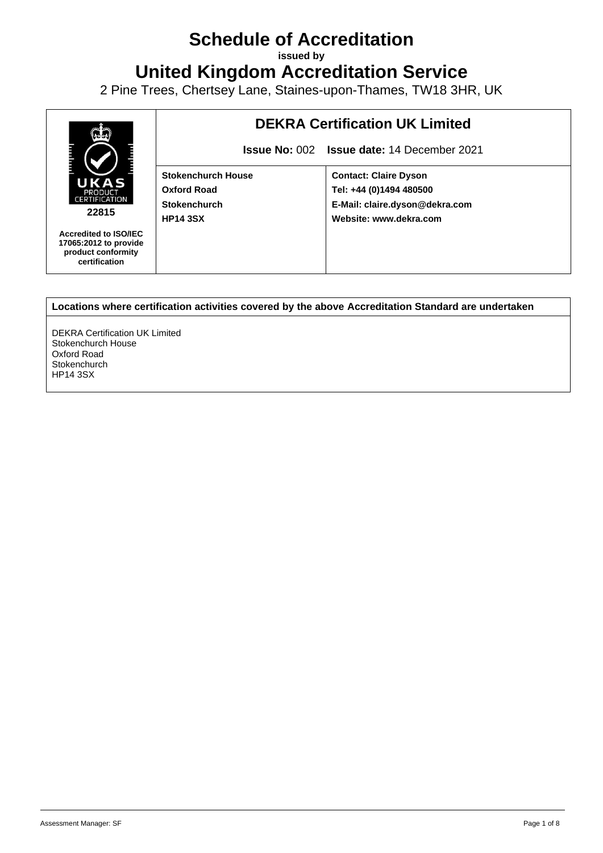## **Schedule of Accreditation**

**issued by**

**United Kingdom Accreditation Service**

2 Pine Trees, Chertsey Lane, Staines-upon-Thames, TW18 3HR, UK



**Locations where certification activities covered by the above Accreditation Standard are undertaken**

DEKRA Certification UK Limited Stokenchurch House Oxford Road **Stokenchurch** HP14 3SX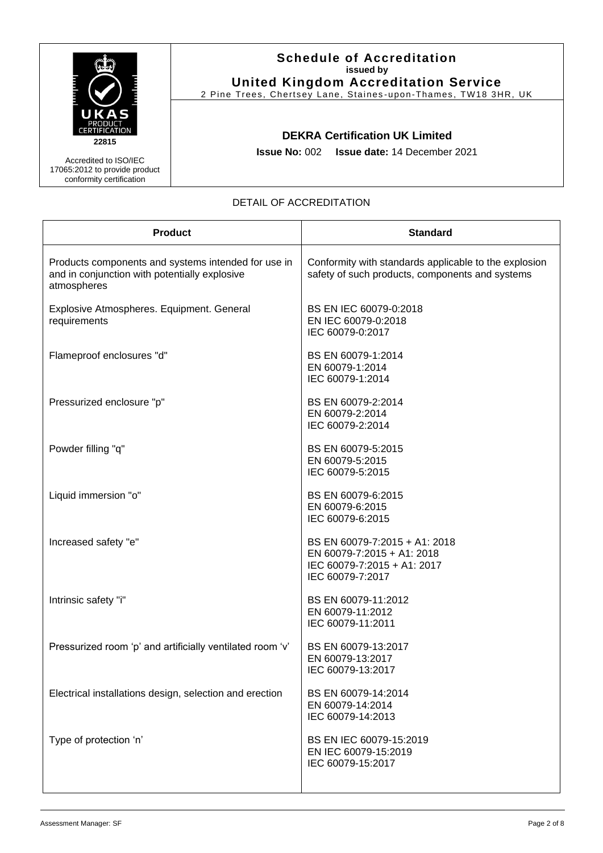|                                                                                    | <b>Schedule of Accreditation</b><br>issued by<br><b>United Kingdom Accreditation Service</b><br>2 Pine Trees, Chertsey Lane, Staines-upon-Thames, TW18 3HR, UK |
|------------------------------------------------------------------------------------|----------------------------------------------------------------------------------------------------------------------------------------------------------------|
| <b>PRODUCT</b><br>ERTIFICATION<br>22815                                            | <b>DEKRA Certification UK Limited</b>                                                                                                                          |
| Accredited to ISO/IEC<br>17065:2012 to provide product<br>conformity certification | <b>Issue No: 002 Issue date: 14 December 2021</b>                                                                                                              |

## DETAIL OF ACCREDITATION

| <b>Product</b>                                                                                                      | <b>Standard</b>                                                                                                |
|---------------------------------------------------------------------------------------------------------------------|----------------------------------------------------------------------------------------------------------------|
| Products components and systems intended for use in<br>and in conjunction with potentially explosive<br>atmospheres | Conformity with standards applicable to the explosion<br>safety of such products, components and systems       |
| Explosive Atmospheres. Equipment. General<br>requirements                                                           | BS EN IEC 60079-0:2018<br>EN IEC 60079-0:2018<br>IEC 60079-0:2017                                              |
| Flameproof enclosures "d"                                                                                           | BS EN 60079-1:2014<br>EN 60079-1:2014<br>IEC 60079-1:2014                                                      |
| Pressurized enclosure "p"                                                                                           | BS EN 60079-2:2014<br>EN 60079-2:2014<br>IEC 60079-2:2014                                                      |
| Powder filling "q"                                                                                                  | BS EN 60079-5:2015<br>EN 60079-5:2015<br>IEC 60079-5:2015                                                      |
| Liquid immersion "o"                                                                                                | BS EN 60079-6:2015<br>EN 60079-6:2015<br>IEC 60079-6:2015                                                      |
| Increased safety "e"                                                                                                | BS EN 60079-7:2015 + A1: 2018<br>EN 60079-7:2015 + A1: 2018<br>IEC 60079-7:2015 + A1: 2017<br>IEC 60079-7:2017 |
| Intrinsic safety "i"                                                                                                | BS EN 60079-11:2012<br>EN 60079-11:2012<br>IEC 60079-11:2011                                                   |
| Pressurized room 'p' and artificially ventilated room 'v'                                                           | BS EN 60079-13:2017<br>EN 60079-13:2017<br>IEC 60079-13:2017                                                   |
| Electrical installations design, selection and erection                                                             | BS EN 60079-14:2014<br>EN 60079-14:2014<br>IEC 60079-14:2013                                                   |
| Type of protection 'n'                                                                                              | BS EN IEC 60079-15:2019<br>EN IEC 60079-15:2019<br>IEC 60079-15:2017                                           |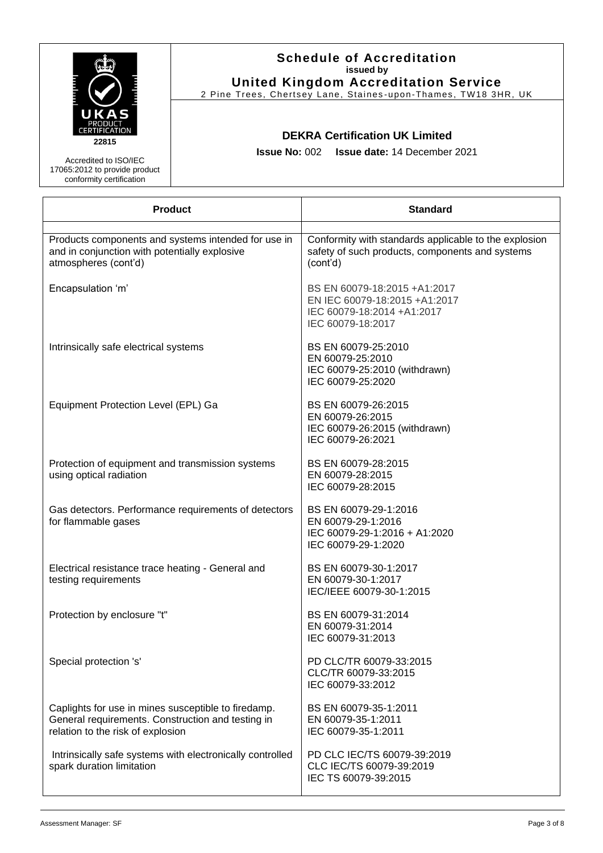| UKAS                                                                                                                         | <b>Schedule of Accreditation</b><br>issued by<br><b>United Kingdom Accreditation Service</b><br>2 Pine Trees, Chertsey Lane, Staines-upon-Thames, TW18 3HR, UK |                                                                                                                      |  |
|------------------------------------------------------------------------------------------------------------------------------|----------------------------------------------------------------------------------------------------------------------------------------------------------------|----------------------------------------------------------------------------------------------------------------------|--|
| <b>ERTIFICATION</b><br>22815<br>Accredited to ISO/IEC<br>17065:2012 to provide product<br>conformity certification           | <b>DEKRA Certification UK Limited</b><br><b>Issue No: 002</b><br><b>Issue date: 14 December 2021</b>                                                           |                                                                                                                      |  |
| <b>Product</b>                                                                                                               |                                                                                                                                                                | <b>Standard</b>                                                                                                      |  |
| Products components and systems intended for use in<br>and in conjunction with potentially explosive<br>atmospheres (cont'd) |                                                                                                                                                                | Conformity with standards applicable to the explosion<br>safety of such products, components and systems<br>(cont'd) |  |

| atmospheres (cont'd)                                                                                                                          | (cont'd)                                                                                                         |
|-----------------------------------------------------------------------------------------------------------------------------------------------|------------------------------------------------------------------------------------------------------------------|
| Encapsulation 'm'                                                                                                                             | BS EN 60079-18:2015 +A1:2017<br>EN IEC 60079-18:2015 +A1:2017<br>IEC 60079-18:2014 +A1:2017<br>IEC 60079-18:2017 |
| Intrinsically safe electrical systems                                                                                                         | BS EN 60079-25:2010<br>EN 60079-25:2010<br>IEC 60079-25:2010 (withdrawn)<br>IEC 60079-25:2020                    |
| Equipment Protection Level (EPL) Ga                                                                                                           | BS EN 60079-26:2015<br>EN 60079-26:2015<br>IEC 60079-26:2015 (withdrawn)<br>IEC 60079-26:2021                    |
| Protection of equipment and transmission systems<br>using optical radiation                                                                   | BS EN 60079-28:2015<br>EN 60079-28:2015<br>IEC 60079-28:2015                                                     |
| Gas detectors. Performance requirements of detectors<br>for flammable gases                                                                   | BS EN 60079-29-1:2016<br>EN 60079-29-1:2016<br>IEC 60079-29-1:2016 + A1:2020<br>IEC 60079-29-1:2020              |
| Electrical resistance trace heating - General and<br>testing requirements                                                                     | BS EN 60079-30-1:2017<br>EN 60079-30-1:2017<br>IEC/IEEE 60079-30-1:2015                                          |
| Protection by enclosure "t"                                                                                                                   | BS EN 60079-31:2014<br>EN 60079-31:2014<br>IEC 60079-31:2013                                                     |
| Special protection 's'                                                                                                                        | PD CLC/TR 60079-33:2015<br>CLC/TR 60079-33:2015<br>IEC 60079-33:2012                                             |
| Caplights for use in mines susceptible to firedamp.<br>General requirements. Construction and testing in<br>relation to the risk of explosion | BS EN 60079-35-1:2011<br>EN 60079-35-1:2011<br>IEC 60079-35-1:2011                                               |
| Intrinsically safe systems with electronically controlled<br>spark duration limitation                                                        | PD CLC IEC/TS 60079-39:2019<br>CLC IEC/TS 60079-39:2019<br>IEC TS 60079-39:2015                                  |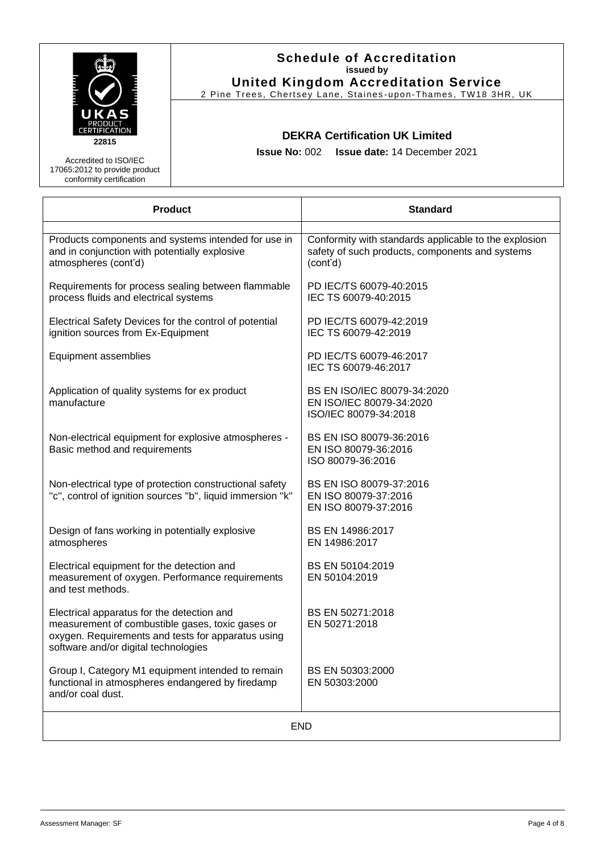|                                                                                                                              | <b>Schedule of Accreditation</b><br>issued by<br><b>United Kingdom Accreditation Service</b><br>2 Pine Trees, Chertsey Lane, Staines-upon-Thames, TW18 3HR, UK |                                                                                                                      |  |
|------------------------------------------------------------------------------------------------------------------------------|----------------------------------------------------------------------------------------------------------------------------------------------------------------|----------------------------------------------------------------------------------------------------------------------|--|
| UKAS<br><b>ERTIFICATION</b><br>22815<br>Accredited to ISO/IEC<br>17065:2012 to provide product<br>conformity certification   | <b>Issue No: 002</b>                                                                                                                                           | <b>DEKRA Certification UK Limited</b><br><b>Issue date: 14 December 2021</b>                                         |  |
| <b>Product</b>                                                                                                               |                                                                                                                                                                | <b>Standard</b>                                                                                                      |  |
| Products components and systems intended for use in<br>and in conjunction with potentially explosive<br>atmospheres (cont'd) |                                                                                                                                                                | Conformity with standards applicable to the explosion<br>safety of such products, components and systems<br>(cont'd) |  |
| Requirements for process sealing between flammable<br>process fluids and electrical systems                                  |                                                                                                                                                                | PD IEC/TS 60079-40:2015<br>IEC TS 60079-40:2015                                                                      |  |
| Electrical Safety Devices for the control of potential<br>ignition sources from Ex-Equipment                                 |                                                                                                                                                                | PD IEC/TS 60079-42:2019<br>IEC TS 60079-42:2019                                                                      |  |
| Equipment assemblies                                                                                                         |                                                                                                                                                                | PD IEC/TS 60079-46:2017<br>IEC TS 60079-46:2017                                                                      |  |
| Application of quality systems for ex product<br>manufacture                                                                 |                                                                                                                                                                | BS EN ISO/IEC 80079-34:2020<br>EN ISO/IEC 80079-34:2020                                                              |  |

ISO/IEC 80079-34:2018

BS EN ISO 80079-36:2016 EN ISO 80079-36:2016 ISO 80079-36:2016

BS EN ISO 80079-37:2016 EN ISO 80079-37:2016 EN ISO 80079-37:2016

[BS EN 14986:2017](https://shop.bsigroup.com/ProductDetail?pid=000000000030294093) EN 14986:2017

[BS EN 50104:2019](https://shop.bsigroup.com/ProductDetail?pid=000000000030377259) EN 50104:2019

[BS EN 50271:2018](https://shop.bsigroup.com/ProductDetail?pid=000000000030331470) EN 50271:2018

BS EN 50303:2000 EN 50303:2000

Non-electrical equipment for explosive atmospheres - Basic method and requirements

Non-electrical type of protection constructional safety ''c'', control of ignition sources ''b'', liquid immersion ''k''

Design of fans working in potentially explosive atmospheres

[Electrical equipment for the detection and](https://shop.bsigroup.com/ProductDetail?pid=000000000030377259)  [measurement of oxygen. Performance requirements](https://shop.bsigroup.com/ProductDetail?pid=000000000030377259)  [and test methods.](https://shop.bsigroup.com/ProductDetail?pid=000000000030377259)

Electrical apparatus for the detection and measurement of combustible gases, toxic gases or oxygen. Requirements and tests for apparatus using software and/or digital technologies

[Group I, Category M1 equipment intended to remain](https://shop.bsigroup.com/ProductDetail?pid=000000000019974368)  [functional in atmospheres endangered by firedamp](https://shop.bsigroup.com/ProductDetail?pid=000000000019974368)  [and/or coal dust.](https://shop.bsigroup.com/ProductDetail?pid=000000000019974368)

END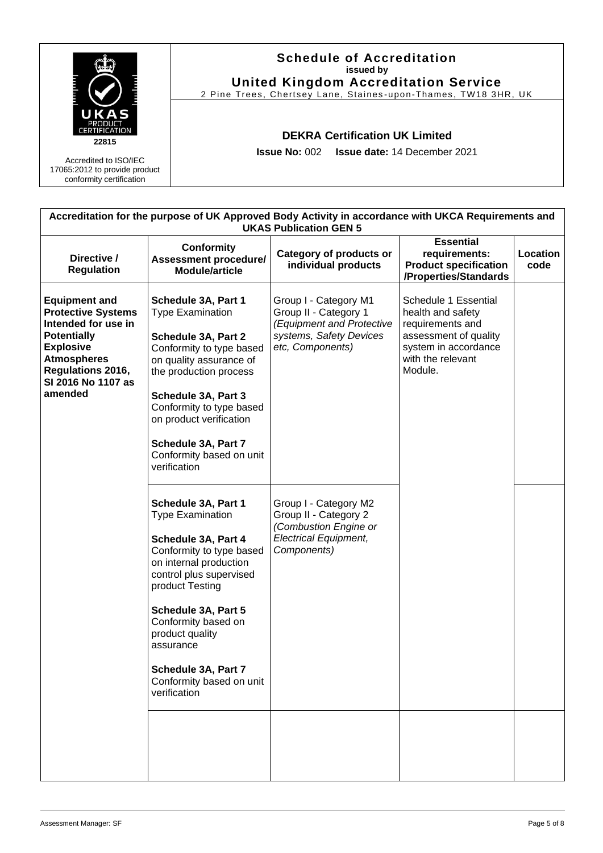

| Accreditation for the purpose of UK Approved Body Activity in accordance with UKCA Requirements and<br><b>UKAS Publication GEN 5</b>                                                                  |                                                                                                                                                                                                                                                                                                                            |                                                                                                                            |                                                                                                                                                |                         |  |
|-------------------------------------------------------------------------------------------------------------------------------------------------------------------------------------------------------|----------------------------------------------------------------------------------------------------------------------------------------------------------------------------------------------------------------------------------------------------------------------------------------------------------------------------|----------------------------------------------------------------------------------------------------------------------------|------------------------------------------------------------------------------------------------------------------------------------------------|-------------------------|--|
| Directive /<br><b>Regulation</b>                                                                                                                                                                      | <b>Conformity</b><br><b>Assessment procedure/</b><br><b>Module/article</b>                                                                                                                                                                                                                                                 | Category of products or<br>individual products                                                                             | <b>Essential</b><br>requirements:<br><b>Product specification</b><br>/Properties/Standards                                                     | <b>Location</b><br>code |  |
| <b>Equipment and</b><br><b>Protective Systems</b><br>Intended for use in<br><b>Potentially</b><br><b>Explosive</b><br><b>Atmospheres</b><br><b>Regulations 2016,</b><br>SI 2016 No 1107 as<br>amended | Schedule 3A, Part 1<br><b>Type Examination</b><br>Schedule 3A, Part 2<br>Conformity to type based<br>on quality assurance of<br>the production process<br>Schedule 3A, Part 3<br>Conformity to type based<br>on product verification<br>Schedule 3A, Part 7<br>Conformity based on unit<br>verification                    | Group I - Category M1<br>Group II - Category 1<br>(Equipment and Protective<br>systems, Safety Devices<br>etc, Components) | Schedule 1 Essential<br>health and safety<br>requirements and<br>assessment of quality<br>system in accordance<br>with the relevant<br>Module. |                         |  |
|                                                                                                                                                                                                       | Schedule 3A, Part 1<br><b>Type Examination</b><br>Schedule 3A, Part 4<br>Conformity to type based<br>on internal production<br>control plus supervised<br>product Testing<br>Schedule 3A, Part 5<br>Conformity based on<br>product quality<br>assurance<br>Schedule 3A, Part 7<br>Conformity based on unit<br>verification | Group I - Category M2<br>Group II - Category 2<br>(Combustion Engine or<br><b>Electrical Equipment,</b><br>Components)     |                                                                                                                                                |                         |  |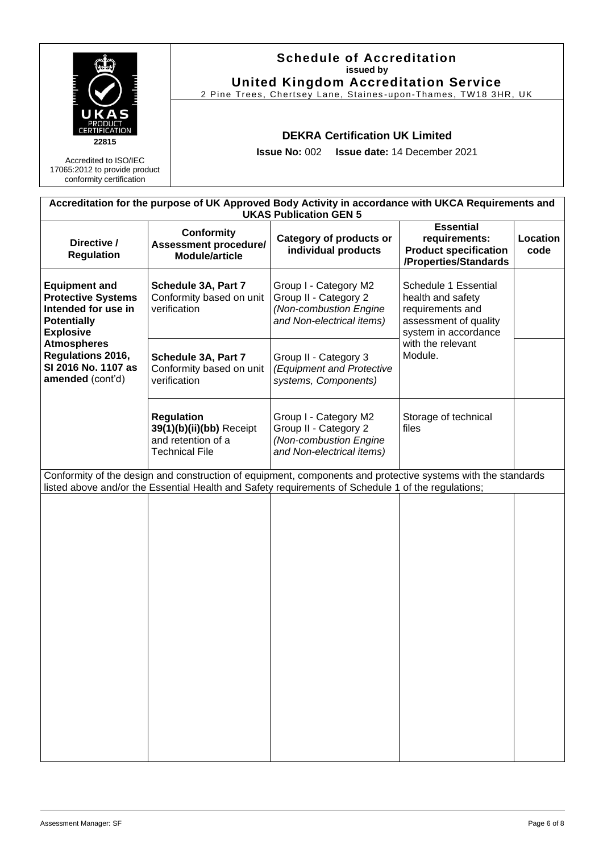|                                                                                                                                                                                                          |                                                                                              | <b>Schedule of Accreditation</b><br>issued by<br><b>United Kingdom Accreditation Service</b><br>2 Pine Trees, Chertsey Lane, Staines-upon-Thames, TW18 3HR, UK |                                                                                                                                                                                                                    |                                                                                                                |                  |  |
|----------------------------------------------------------------------------------------------------------------------------------------------------------------------------------------------------------|----------------------------------------------------------------------------------------------|----------------------------------------------------------------------------------------------------------------------------------------------------------------|--------------------------------------------------------------------------------------------------------------------------------------------------------------------------------------------------------------------|----------------------------------------------------------------------------------------------------------------|------------------|--|
| 22815<br>Accredited to ISO/IEC<br>17065:2012 to provide product<br>conformity certification                                                                                                              |                                                                                              | <b>DEKRA Certification UK Limited</b><br><b>Issue No: 002</b><br><b>Issue date: 14 December 2021</b>                                                           |                                                                                                                                                                                                                    |                                                                                                                |                  |  |
|                                                                                                                                                                                                          |                                                                                              |                                                                                                                                                                | Accreditation for the purpose of UK Approved Body Activity in accordance with UKCA Requirements and<br><b>UKAS Publication GEN 5</b>                                                                               |                                                                                                                |                  |  |
| Directive /<br><b>Regulation</b>                                                                                                                                                                         | <b>Conformity</b><br><b>Assessment procedure/</b><br><b>Module/article</b>                   |                                                                                                                                                                | Category of products or<br>individual products                                                                                                                                                                     | <b>Essential</b><br>requirements:<br><b>Product specification</b><br>/Properties/Standards                     | Location<br>code |  |
| <b>Equipment and</b><br><b>Protective Systems</b><br>Intended for use in<br><b>Potentially</b><br><b>Explosive</b><br><b>Atmospheres</b><br>Regulations 2016,<br>SI 2016 No. 1107 as<br>amended (cont'd) | Schedule 3A, Part 7<br>Conformity based on unit<br>verification                              |                                                                                                                                                                | Group I - Category M2<br>Group II - Category 2<br>(Non-combustion Engine<br>and Non-electrical items)                                                                                                              | Schedule 1 Essential<br>health and safety<br>requirements and<br>assessment of quality<br>system in accordance |                  |  |
|                                                                                                                                                                                                          | Schedule 3A, Part 7<br>Conformity based on unit<br>verification                              |                                                                                                                                                                | Group II - Category 3<br>(Equipment and Protective<br>systems, Components)                                                                                                                                         | with the relevant<br>Module.                                                                                   |                  |  |
|                                                                                                                                                                                                          | <b>Regulation</b><br>39(1)(b)(ii)(bb) Receipt<br>and retention of a<br><b>Technical File</b> |                                                                                                                                                                | Group I - Category M2<br>Group II - Category 2<br>(Non-combustion Engine<br>and Non-electrical items)                                                                                                              | Storage of technical<br>files                                                                                  |                  |  |
|                                                                                                                                                                                                          |                                                                                              |                                                                                                                                                                | Conformity of the design and construction of equipment, components and protective systems with the standards<br>listed above and/or the Essential Health and Safety requirements of Schedule 1 of the regulations; |                                                                                                                |                  |  |
|                                                                                                                                                                                                          |                                                                                              |                                                                                                                                                                |                                                                                                                                                                                                                    |                                                                                                                |                  |  |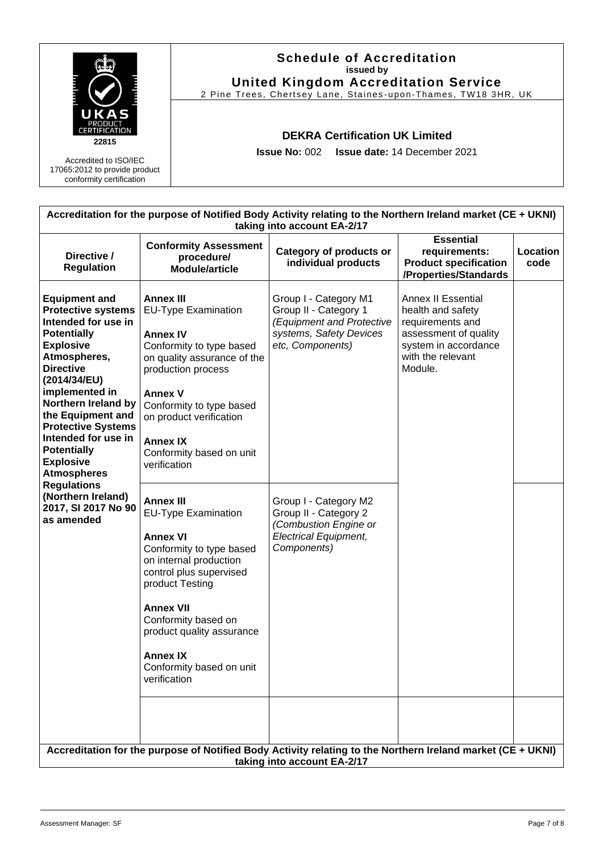| PRODUCT<br><b>TERTIFICATION</b><br>22815                                           | <b>Schedule of Accreditation</b><br>issued by<br><b>United Kingdom Accreditation Service</b><br>2 Pine Trees, Chertsey Lane, Staines-upon-Thames, TW18 3HR, UK |
|------------------------------------------------------------------------------------|----------------------------------------------------------------------------------------------------------------------------------------------------------------|
|                                                                                    | <b>DEKRA Certification UK Limited</b>                                                                                                                          |
| Accredited to ISO/IEC<br>17065:2012 to provide product<br>conformity certification | <b>Issue No: 002 Issue date: 14 December 2021</b>                                                                                                              |

| Accreditation for the purpose of Notified Body Activity relating to the Northern Ireland market (CE + UKNI)<br>taking into account EA-2/17                                                                                                                                                                                                                                                                                                |                                                                                                                                                                                                                                                                                                       |                                                                                                                            |                                                                                                                                              |                  |  |
|-------------------------------------------------------------------------------------------------------------------------------------------------------------------------------------------------------------------------------------------------------------------------------------------------------------------------------------------------------------------------------------------------------------------------------------------|-------------------------------------------------------------------------------------------------------------------------------------------------------------------------------------------------------------------------------------------------------------------------------------------------------|----------------------------------------------------------------------------------------------------------------------------|----------------------------------------------------------------------------------------------------------------------------------------------|------------------|--|
| Directive /<br><b>Regulation</b>                                                                                                                                                                                                                                                                                                                                                                                                          | <b>Conformity Assessment</b><br>procedure/<br><b>Module/article</b>                                                                                                                                                                                                                                   | <b>Category of products or</b><br>individual products                                                                      | <b>Essential</b><br>requirements:<br><b>Product specification</b><br>/Properties/Standards                                                   | Location<br>code |  |
| <b>Equipment and</b><br><b>Protective systems</b><br>Intended for use in<br><b>Potentially</b><br><b>Explosive</b><br>Atmospheres,<br><b>Directive</b><br>(2014/34/EU)<br>implemented in<br>Northern Ireland by<br>the Equipment and<br><b>Protective Systems</b><br>Intended for use in<br><b>Potentially</b><br><b>Explosive</b><br><b>Atmospheres</b><br><b>Regulations</b><br>(Northern Ireland)<br>2017, SI 2017 No 90<br>as amended | <b>Annex III</b><br><b>EU-Type Examination</b><br><b>Annex IV</b><br>Conformity to type based<br>on quality assurance of the<br>production process<br><b>Annex V</b><br>Conformity to type based<br>on product verification<br><b>Annex IX</b><br>Conformity based on unit<br>verification            | Group I - Category M1<br>Group II - Category 1<br>(Equipment and Protective<br>systems, Safety Devices<br>etc, Components) | Annex II Essential<br>health and safety<br>requirements and<br>assessment of quality<br>system in accordance<br>with the relevant<br>Module. |                  |  |
|                                                                                                                                                                                                                                                                                                                                                                                                                                           | <b>Annex III</b><br>EU-Type Examination<br><b>Annex VI</b><br>Conformity to type based<br>on internal production<br>control plus supervised<br>product Testing<br><b>Annex VII</b><br>Conformity based on<br>product quality assurance<br><b>Annex IX</b><br>Conformity based on unit<br>verification | Group I - Category M2<br>Group II - Category 2<br>(Combustion Engine or<br><b>Electrical Equipment,</b><br>Components)     |                                                                                                                                              |                  |  |
|                                                                                                                                                                                                                                                                                                                                                                                                                                           | Accreditation for the purpose of Notified Body Activity relating to the Northern Ireland market (CE + UKNI)                                                                                                                                                                                           | taking into account EA-2/17                                                                                                |                                                                                                                                              |                  |  |